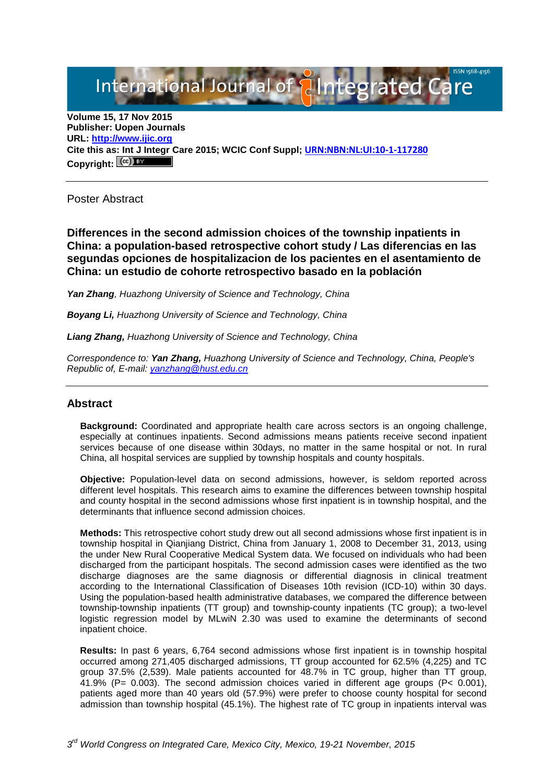# International Journal of **Plantegrated Care**

**Volume 15, 17 Nov 2015 Publisher: Uopen Journals URL: [http://www.ijic.org](http://www.ijic.org/) Cite this as: Int J Integr Care 2015; WCIC Conf Suppl; [URN:NBN:NL:UI:10-1-117280](http://persistent-identifier.nl/?identifier=URN:NBN:NL:UI:10-1-117280) Copyright:**

Poster Abstract

**Differences in the second admission choices of the township inpatients in China: a population-based retrospective cohort study / Las diferencias en las segundas opciones de hospitalizacion de los pacientes en el asentamiento de China: un estudio de cohorte retrospectivo basado en la población**

*Yan Zhang, Huazhong University of Science and Technology, China*

*Boyang Li, Huazhong University of Science and Technology, China*

*Liang Zhang, Huazhong University of Science and Technology, China*

*Correspondence to: Yan Zhang, Huazhong University of Science and Technology, China, People's Republic of, E-mail: [yanzhang@hust.edu.cn](mailto:yanzhang@hust.edu.cn)*

## **Abstract**

**Background:** Coordinated and appropriate health care across sectors is an ongoing challenge, especially at continues inpatients. Second admissions means patients receive second inpatient services because of one disease within 30days, no matter in the same hospital or not. In rural China, all hospital services are supplied by township hospitals and county hospitals.

**Objective:** Population-level data on second admissions, however, is seldom reported across different level hospitals. This research aims to examine the differences between township hospital and county hospital in the second admissions whose first inpatient is in township hospital, and the determinants that influence second admission choices.

**Methods:** This retrospective cohort study drew out all second admissions whose first inpatient is in township hospital in Qianjiang District, China from January 1, 2008 to December 31, 2013, using the under New Rural Cooperative Medical System data. We focused on individuals who had been discharged from the participant hospitals. The second admission cases were identified as the two discharge diagnoses are the same diagnosis or differential diagnosis in clinical treatment according to the International Classification of Diseases 10th revision (ICD-10) within 30 days. Using the population-based health administrative databases, we compared the difference between township-township inpatients (TT group) and township-county inpatients (TC group); a two-level logistic regression model by MLwiN 2.30 was used to examine the determinants of second inpatient choice.

**Results:** In past 6 years, 6,764 second admissions whose first inpatient is in township hospital occurred among 271,405 discharged admissions, TT group accounted for 62.5% (4,225) and TC group 37.5% (2,539). Male patients accounted for 48.7% in TC group, higher than TT group,  $41.9\%$  (P= 0.003). The second admission choices varied in different age groups (P< 0.001), patients aged more than 40 years old (57.9%) were prefer to choose county hospital for second admission than township hospital (45.1%). The highest rate of TC group in inpatients interval was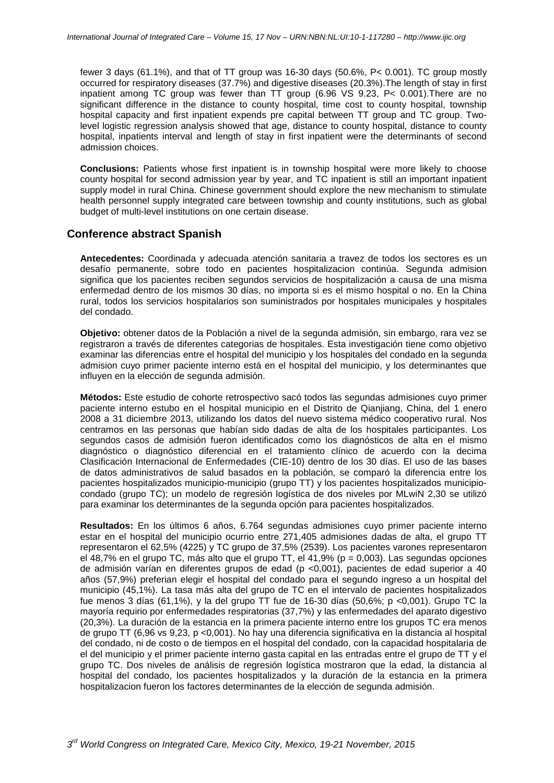fewer 3 days (61.1%), and that of TT group was 16-30 days (50.6%, P< 0.001). TC group mostly occurred for respiratory diseases (37.7%) and digestive diseases (20.3%).The length of stay in first inpatient among TC group was fewer than TT group (6.96 VS 9.23, P< 0.001).There are no significant difference in the distance to county hospital, time cost to county hospital, township hospital capacity and first inpatient expends pre capital between TT group and TC group. Twolevel logistic regression analysis showed that age, distance to county hospital, distance to county hospital, inpatients interval and length of stay in first inpatient were the determinants of second admission choices.

**Conclusions:** Patients whose first inpatient is in township hospital were more likely to choose county hospital for second admission year by year, and TC inpatient is still an important inpatient supply model in rural China. Chinese government should explore the new mechanism to stimulate health personnel supply integrated care between township and county institutions, such as global budget of multi-level institutions on one certain disease.

## **Conference abstract Spanish**

**Antecedentes:** Coordinada y adecuada atención sanitaria a travez de todos los sectores es un desafío permanente, sobre todo en pacientes hospitalizacion continúa. Segunda admision significa que los pacientes reciben segundos servicios de hospitalización a causa de una misma enfermedad dentro de los mismos 30 días, no importa si es el mismo hospital o no. En la China rural, todos los servicios hospitalarios son suministrados por hospitales municipales y hospitales del condado.

**Objetivo:** obtener datos de la Población a nivel de la segunda admisión, sin embargo, rara vez se registraron a través de diferentes categorias de hospitales. Esta investigación tiene como objetivo examinar las diferencias entre el hospital del municipio y los hospitales del condado en la segunda admision cuyo primer paciente interno está en el hospital del municipio, y los determinantes que influyen en la elección de segunda admisión.

**Métodos:** Este estudio de cohorte retrospectivo sacó todos las segundas admisiones cuyo primer paciente interno estubo en el hospital municipio en el Distrito de Qianjiang, China, del 1 enero 2008 a 31 diciembre 2013, utilizando los datos del nuevo sistema médico cooperativo rural. Nos centramos en las personas que habían sido dadas de alta de los hospitales participantes. Los segundos casos de admisión fueron identificados como los diagnósticos de alta en el mismo diagnóstico o diagnóstico diferencial en el tratamiento clínico de acuerdo con la decima Clasificación Internacional de Enfermedades (CIE-10) dentro de los 30 días. El uso de las bases de datos administrativos de salud basados en la población, se comparó la diferencia entre los pacientes hospitalizados municipio-municipio (grupo TT) y los pacientes hospitalizados municipiocondado (grupo TC); un modelo de regresión logística de dos niveles por MLwiN 2,30 se utilizó para examinar los determinantes de la segunda opción para pacientes hospitalizados.

**Resultados:** En los últimos 6 años, 6.764 segundas admisiones cuyo primer paciente interno estar en el hospital del municipio ocurrio entre 271,405 admisiones dadas de alta, el grupo TT representaron el 62,5% (4225) y TC grupo de 37,5% (2539). Los pacientes varones representaron el 48,7% en el grupo TC, más alto que el grupo TT, el 41,9% (p = 0,003). Las segundas opciones de admisión varían en diferentes grupos de edad (p <0,001), pacientes de edad superior a 40 años (57,9%) preferian elegir el hospital del condado para el segundo ingreso a un hospital del municipio (45,1%). La tasa más alta del grupo de TC en el intervalo de pacientes hospitalizados fue menos 3 días (61,1%), y la del grupo TT fue de 16-30 días (50,6%; p <0,001). Grupo TC la mayoría requirio por enfermedades respiratorias (37,7%) y las enfermedades del aparato digestivo (20,3%). La duración de la estancia en la primera paciente interno entre los grupos TC era menos de grupo TT (6,96 vs 9,23, p <0,001). No hay una diferencia significativa en la distancia al hospital del condado, ni de costo o de tiempos en el hospital del condado, con la capacidad hospitalaria de el del municipio y el primer paciente interno gasta capital en las entradas entre el grupo de TT y el grupo TC. Dos niveles de análisis de regresión logística mostraron que la edad, la distancia al hospital del condado, los pacientes hospitalizados y la duración de la estancia en la primera hospitalizacion fueron los factores determinantes de la elección de segunda admisión.